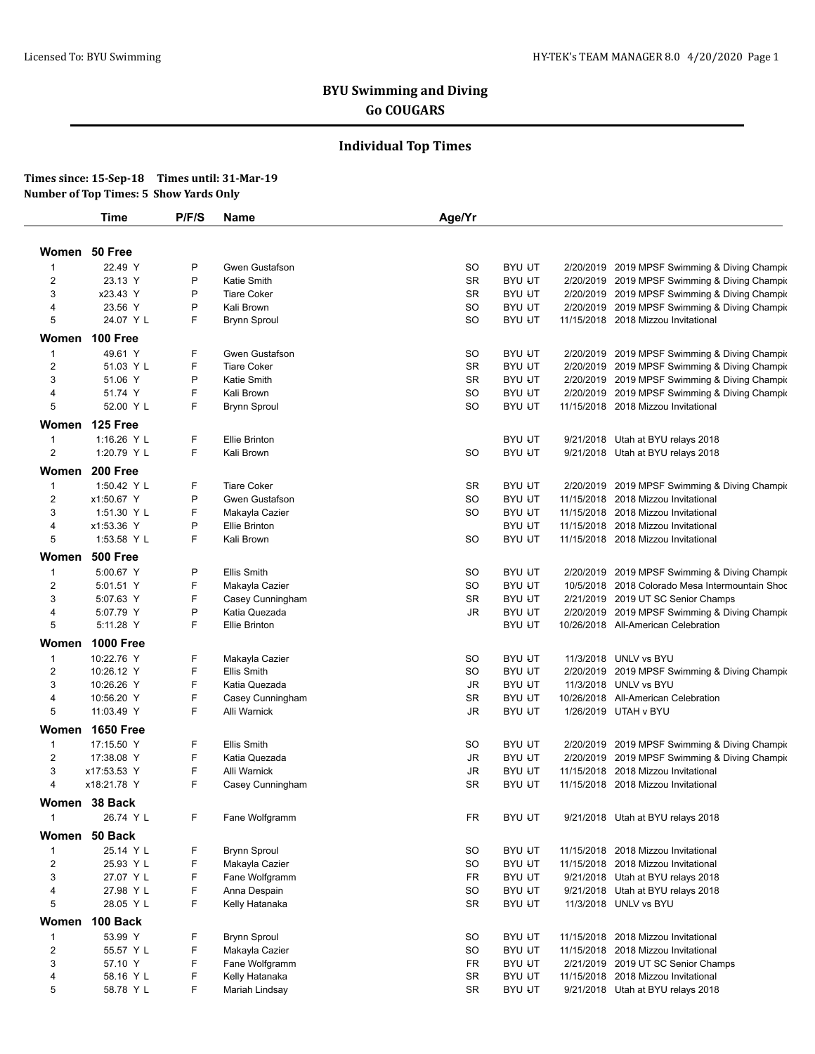# **BYU Swimming and Diving Go COUGARS**

## **Individual Top Times**

### **Times since: 15-Sep-18 Times until: 31-Mar-19 Number of Top Times: 5 Show Yards Only**

|                  | <b>Time</b>      | P/F/S | Name                 | Age/Yr    |               |                                                 |
|------------------|------------------|-------|----------------------|-----------|---------------|-------------------------------------------------|
|                  |                  |       |                      |           |               |                                                 |
|                  | Women 50 Free    |       |                      |           |               |                                                 |
| 1                | 22.49 Y          | P     | Gwen Gustafson       | SO        | <b>BYU UT</b> | 2/20/2019 2019 MPSF Swimming & Diving Champir   |
| 2                | 23.13 Y          | P     | <b>Katie Smith</b>   | SR        | <b>BYU UT</b> | 2/20/2019 2019 MPSF Swimming & Diving Champir   |
| 3                | x23.43 Y         | P     | <b>Tiare Coker</b>   | SR        | <b>BYU UT</b> | 2/20/2019 2019 MPSF Swimming & Diving Champio   |
| 4                | 23.56 Y          | P     | Kali Brown           | <b>SO</b> | <b>BYU UT</b> | 2/20/2019 2019 MPSF Swimming & Diving Champir   |
| 5                | 24.07 Y L        | F     | <b>Brynn Sproul</b>  | SO        | <b>BYU UT</b> | 11/15/2018 2018 Mizzou Invitational             |
|                  | Women 100 Free   |       |                      |           |               |                                                 |
| $\mathbf{1}$     | 49.61 Y          | F     | Gwen Gustafson       | SO        | <b>BYU UT</b> | 2/20/2019 2019 MPSF Swimming & Diving Champir   |
| $\overline{2}$   | 51.03 Y L        | F     | <b>Tiare Coker</b>   | <b>SR</b> | <b>BYU UT</b> | 2/20/2019 2019 MPSF Swimming & Diving Champir   |
| 3                | 51.06 Y          | P     | Katie Smith          | <b>SR</b> | <b>BYU UT</b> | 2/20/2019 2019 MPSF Swimming & Diving Champio   |
| 4                | 51.74 Y          | F     | Kali Brown           | SO        | <b>BYU UT</b> | 2/20/2019 2019 MPSF Swimming & Diving Champir   |
| 5                | 52.00 Y L        | F     | <b>Brynn Sproul</b>  | SO        | <b>BYU UT</b> | 11/15/2018 2018 Mizzou Invitational             |
|                  | Women 125 Free   |       |                      |           |               |                                                 |
| $\mathbf{1}$     | 1:16.26 Y L      | F     | <b>Ellie Brinton</b> |           | <b>BYU UT</b> | 9/21/2018 Utah at BYU relays 2018               |
| 2                | 1:20.79 Y L      | F     | Kali Brown           | SO        | <b>BYU UT</b> | 9/21/2018 Utah at BYU relays 2018               |
|                  |                  |       |                      |           |               |                                                 |
| Women            | 200 Free         |       |                      |           |               |                                                 |
| $\mathbf{1}$     | 1:50.42 Y L      | F     | <b>Tiare Coker</b>   | SR        | <b>BYU UT</b> | 2/20/2019 2019 MPSF Swimming & Diving Champic   |
| 2                | x1:50.67 Y       | P     | Gwen Gustafson       | SO        | <b>BYU UT</b> | 11/15/2018 2018 Mizzou Invitational             |
| 3                | 1:51.30 Y L      | F     | Makayla Cazier       | SO        | <b>BYU UT</b> | 11/15/2018 2018 Mizzou Invitational             |
| 4                | x1:53.36 Y       | P     | <b>Ellie Brinton</b> |           | <b>BYU UT</b> | 11/15/2018 2018 Mizzou Invitational             |
| 5                | 1:53.58 Y L      | F     | Kali Brown           | SO        | <b>BYU UT</b> | 11/15/2018 2018 Mizzou Invitational             |
| Women            | <b>500 Free</b>  |       |                      |           |               |                                                 |
| 1                | 5:00.67 Y        | P     | Ellis Smith          | <b>SO</b> | <b>BYU UT</b> | 2/20/2019 2019 MPSF Swimming & Diving Champir   |
| $\boldsymbol{2}$ | 5:01.51 Y        | F     | Makayla Cazier       | SO        | <b>BYU UT</b> | 10/5/2018 2018 Colorado Mesa Intermountain Shoc |
| 3                | 5:07.63 Y        | F     | Casey Cunningham     | SR        | <b>BYU UT</b> | 2/21/2019 2019 UT SC Senior Champs              |
| 4                | 5:07.79 Y        | P     | Katia Quezada        | JR        | <b>BYU UT</b> | 2/20/2019 2019 MPSF Swimming & Diving Champic   |
| 5                | 5:11.28 Y        | F     | <b>Ellie Brinton</b> |           | <b>BYU UT</b> | 10/26/2018 All-American Celebration             |
| Women            | <b>1000 Free</b> |       |                      |           |               |                                                 |
| $\mathbf{1}$     | 10:22.76 Y       | F     | Makayla Cazier       | SO        | <b>BYU UT</b> | 11/3/2018 UNLV vs BYU                           |
| 2                | 10:26.12 Y       | F     | Ellis Smith          | SO        | <b>BYU UT</b> | 2/20/2019 2019 MPSF Swimming & Diving Champir   |
| 3                | 10:26.26 Y       | F     | Katia Quezada        | JR        | <b>BYU UT</b> | 11/3/2018 UNLV vs BYU                           |
| 4                | 10:56.20 Y       | F     | Casey Cunningham     | SR        | <b>BYU UT</b> | 10/26/2018 All-American Celebration             |
| 5                | 11:03.49 Y       | F     | Alli Warnick         | JR        | <b>BYU UT</b> | 1/26/2019 UTAH v BYU                            |
|                  | Women 1650 Free  |       |                      |           |               |                                                 |
| $\mathbf{1}$     | 17:15.50 Y       | F     | Ellis Smith          | SO        | <b>BYU UT</b> | 2/20/2019 2019 MPSF Swimming & Diving Champir   |
| 2                | 17:38.08 Y       | F     | Katia Quezada        | JR        | <b>BYU UT</b> | 2/20/2019 2019 MPSF Swimming & Diving Champir   |
| 3                | x17:53.53 Y      | F     | Alli Warnick         | <b>JR</b> | <b>BYU UT</b> | 11/15/2018 2018 Mizzou Invitational             |
| 4                | x18:21.78 Y      | F     | Casey Cunningham     | <b>SR</b> | <b>BYU UT</b> | 11/15/2018 2018 Mizzou Invitational             |
|                  |                  |       |                      |           |               |                                                 |
|                  | Women 38 Back    |       |                      |           |               |                                                 |
| 1                | 26.74 Y L        | F     | Fane Wolfgramm       | <b>FR</b> | <b>BYU UT</b> | 9/21/2018 Utah at BYU relays 2018               |
|                  | Women 50 Back    |       |                      |           |               |                                                 |
| $\mathbf{1}$     | 25.14 Y L        | F     | <b>Brynn Sproul</b>  | SO        | <b>BYU UT</b> | 11/15/2018 2018 Mizzou Invitational             |
| 2                | 25.93 Y L        | F     | Makayla Cazier       | SO        | <b>BYU UT</b> | 11/15/2018 2018 Mizzou Invitational             |
| 3                | 27.07 Y L        | F     | Fane Wolfgramm       | FR        | <b>BYU UT</b> | 9/21/2018 Utah at BYU relays 2018               |
| 4                | 27.98 Y L        | F     | Anna Despain         | SO        | <b>BYU UT</b> | 9/21/2018 Utah at BYU relays 2018               |
| 5                | 28.05 Y L        | F     | Kelly Hatanaka       | SR        | <b>BYU UT</b> | 11/3/2018 UNLV vs BYU                           |
| Women            | 100 Back         |       |                      |           |               |                                                 |
| $\mathbf{1}$     | 53.99 Y          | F     | <b>Brynn Sproul</b>  | SO        | <b>BYU UT</b> | 11/15/2018 2018 Mizzou Invitational             |
| $\overline{2}$   | 55.57 Y L        | F     | Makayla Cazier       | SO        | <b>BYU UT</b> | 11/15/2018 2018 Mizzou Invitational             |
| 3                | 57.10 Y          | F     | Fane Wolfgramm       | FR        | <b>BYU UT</b> | 2/21/2019 2019 UT SC Senior Champs              |
| 4                | 58.16 Y L        | F     | Kelly Hatanaka       | SR        | <b>BYU UT</b> | 11/15/2018 2018 Mizzou Invitational             |
| 5                | 58.78 Y L        | F     | Mariah Lindsay       | <b>SR</b> | <b>BYU UT</b> | 9/21/2018 Utah at BYU relays 2018               |
|                  |                  |       |                      |           |               |                                                 |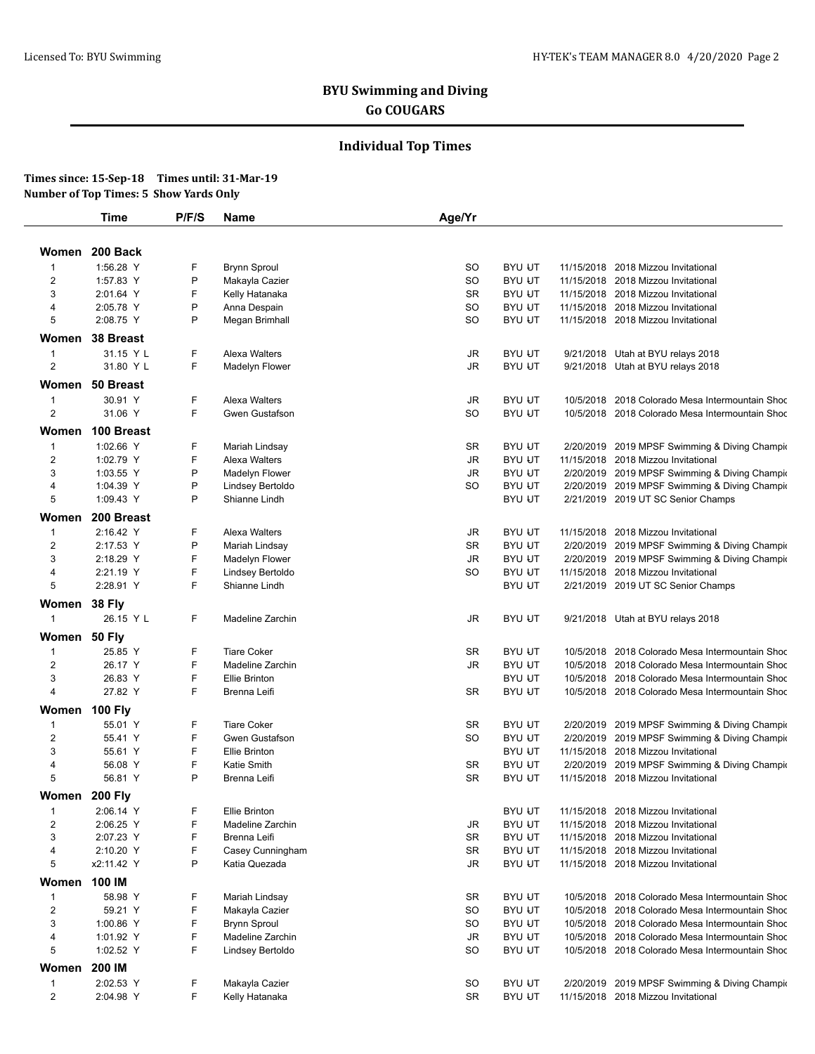# **BYU Swimming and Diving Go COUGARS**

## **Individual Top Times**

### **Times since: 15-Sep-18 Times until: 31-Mar-19 Number of Top Times: 5 Show Yards Only**

| Women<br>$\mathbf{1}$<br>$\overline{\mathbf{c}}$ | 200 Back<br>1:56.28 Y |        |                      |           |               |                                                 |
|--------------------------------------------------|-----------------------|--------|----------------------|-----------|---------------|-------------------------------------------------|
|                                                  |                       |        |                      |           |               |                                                 |
|                                                  |                       |        |                      |           |               |                                                 |
|                                                  |                       | F      | <b>Brynn Sproul</b>  | SO        | <b>BYU UT</b> | 11/15/2018 2018 Mizzou Invitational             |
|                                                  | 1:57.83 Y             | P      | Makayla Cazier       | SO        | <b>BYU UT</b> | 11/15/2018 2018 Mizzou Invitational             |
| 3                                                | 2:01.64 Y             | F      | Kelly Hatanaka       | <b>SR</b> | <b>BYU UT</b> | 11/15/2018 2018 Mizzou Invitational             |
| 4                                                | 2:05.78 Y             | P<br>P | Anna Despain         | SO        | <b>BYU UT</b> | 11/15/2018 2018 Mizzou Invitational             |
| 5                                                | 2:08.75 Y             |        | Megan Brimhall       | SO        | <b>BYU UT</b> | 11/15/2018 2018 Mizzou Invitational             |
|                                                  | Women 38 Breast       |        |                      |           |               |                                                 |
| $\mathbf{1}$                                     | 31.15 Y L             | F      | Alexa Walters        | JR        | <b>BYU UT</b> | 9/21/2018 Utah at BYU relays 2018               |
| 2                                                | 31.80 Y L             | F      | Madelyn Flower       | JR        | <b>BYU UT</b> | 9/21/2018 Utah at BYU relays 2018               |
|                                                  | Women 50 Breast       |        |                      |           |               |                                                 |
| $\mathbf{1}$                                     | 30.91 Y               | F      | Alexa Walters        | JR        | <b>BYU UT</b> | 10/5/2018 2018 Colorado Mesa Intermountain Shoc |
| $\overline{2}$                                   | 31.06 Y               | F      | Gwen Gustafson       | SO        | <b>BYU UT</b> | 10/5/2018 2018 Colorado Mesa Intermountain Shoc |
| Women                                            | 100 Breast            |        |                      |           |               |                                                 |
|                                                  |                       |        |                      |           |               |                                                 |
| $\mathbf{1}$                                     | 1:02.66 Y             | F      | Mariah Lindsay       | SR        | <b>BYU UT</b> | 2/20/2019 2019 MPSF Swimming & Diving Champir   |
| 2                                                | 1:02.79 Y             | F      | Alexa Walters        | JR        | <b>BYU UT</b> | 11/15/2018 2018 Mizzou Invitational             |
| 3                                                | 1:03.55 Y             | P<br>P | Madelyn Flower       | JR        | <b>BYU UT</b> | 2/20/2019 2019 MPSF Swimming & Diving Champio   |
| 4                                                | 1:04.39 Y             |        | Lindsey Bertoldo     | SO        | <b>BYU UT</b> | 2/20/2019 2019 MPSF Swimming & Diving Champir   |
| 5                                                | 1:09.43 Y             | P      | Shianne Lindh        |           | <b>BYU UT</b> | 2/21/2019 2019 UT SC Senior Champs              |
| Women                                            | 200 Breast            |        |                      |           |               |                                                 |
| $\mathbf{1}$                                     | 2:16.42 Y             | F      | Alexa Walters        | JR        | <b>BYU UT</b> | 11/15/2018 2018 Mizzou Invitational             |
| $\overline{2}$                                   | 2:17.53 Y             | P      | Mariah Lindsay       | SR        | <b>BYU UT</b> | 2/20/2019 2019 MPSF Swimming & Diving Champio   |
| 3                                                | 2:18.29 Y             | F      | Madelyn Flower       | JR        | <b>BYU UT</b> | 2/20/2019 2019 MPSF Swimming & Diving Champio   |
| 4                                                | 2:21.19 Y             | F      | Lindsey Bertoldo     | SO        | <b>BYU UT</b> | 11/15/2018 2018 Mizzou Invitational             |
| 5                                                | 2:28.91 Y             | F      | Shianne Lindh        |           | <b>BYU UT</b> | 2/21/2019 2019 UT SC Senior Champs              |
| Women                                            | <b>38 Fly</b>         |        |                      |           |               |                                                 |
| $\mathbf{1}$                                     | 26.15 Y L             | F      | Madeline Zarchin     | JR        | <b>BYU UT</b> | 9/21/2018 Utah at BYU relays 2018               |
|                                                  |                       |        |                      |           |               |                                                 |
| Women 50 Fly                                     |                       |        |                      |           |               |                                                 |
| $\mathbf{1}$                                     | 25.85 Y               | F      | <b>Tiare Coker</b>   | SR        | <b>BYU UT</b> | 10/5/2018 2018 Colorado Mesa Intermountain Shoc |
| $\overline{c}$                                   | 26.17 Y               | F      | Madeline Zarchin     | JR        | <b>BYU UT</b> | 10/5/2018 2018 Colorado Mesa Intermountain Shoc |
| 3                                                | 26.83 Y               | F      | <b>Ellie Brinton</b> |           | <b>BYU UT</b> | 10/5/2018 2018 Colorado Mesa Intermountain Shoc |
| 4                                                | 27.82 Y               | F      | Brenna Leifi         | SR        | <b>BYU UT</b> | 10/5/2018 2018 Colorado Mesa Intermountain Shoc |
|                                                  | Women 100 Fly         |        |                      |           |               |                                                 |
| $\mathbf{1}$                                     | 55.01 Y               | F      | <b>Tiare Coker</b>   | <b>SR</b> | <b>BYU UT</b> | 2/20/2019 2019 MPSF Swimming & Diving Champic   |
| $\overline{2}$                                   | 55.41 Y               | F      | Gwen Gustafson       | SO        | <b>BYU UT</b> | 2/20/2019 2019 MPSF Swimming & Diving Champir   |
| 3                                                | 55.61 Y               | F      | <b>Ellie Brinton</b> |           | <b>BYU UT</b> | 11/15/2018 2018 Mizzou Invitational             |
| 4                                                | 56.08 Y               | F      | Katie Smith          | SR        | <b>BYU UT</b> | 2/20/2019 2019 MPSF Swimming & Diving Champic   |
| 5                                                | 56.81 Y               | P      | Brenna Leifi         | SR        | <b>BYU UT</b> | 11/15/2018 2018 Mizzou Invitational             |
| Women 200 Fly                                    |                       |        |                      |           |               |                                                 |
| 1                                                | 2:06.14 Y             | F      | Ellie Brinton        |           | <b>BYU UT</b> | 11/15/2018 2018 Mizzou Invitational             |
| $\overline{c}$                                   | 2:06.25 Y             | F      | Madeline Zarchin     | JR        | <b>BYU UT</b> | 11/15/2018 2018 Mizzou Invitational             |
| 3                                                | 2:07.23 Y             | F      | Brenna Leifi         | SR        | <b>BYU UT</b> | 11/15/2018 2018 Mizzou Invitational             |
| 4                                                | 2:10.20 Y             | F      | Casey Cunningham     | SR        | <b>BYU UT</b> | 11/15/2018 2018 Mizzou Invitational             |
| 5                                                | x2:11.42 Y            | P      | Katia Quezada        | JR        | <b>BYU UT</b> | 11/15/2018 2018 Mizzou Invitational             |
| Women                                            | 100 IM                |        |                      |           |               |                                                 |
| $\mathbf{1}$                                     | 58.98 Y               | F      | Mariah Lindsay       | SR        | <b>BYU UT</b> | 10/5/2018 2018 Colorado Mesa Intermountain Shoc |
| $\overline{c}$                                   | 59.21 Y               | F      | Makayla Cazier       | SO        | <b>BYU UT</b> | 10/5/2018 2018 Colorado Mesa Intermountain Shoc |
| 3                                                | 1:00.86 Y             | F      | <b>Brynn Sproul</b>  | SO        | <b>BYU UT</b> | 10/5/2018 2018 Colorado Mesa Intermountain Shoc |
| 4                                                | 1:01.92 Y             | F      | Madeline Zarchin     | JR        | <b>BYU UT</b> | 10/5/2018 2018 Colorado Mesa Intermountain Shoc |
| 5                                                | 1:02.52 Y             | F      | Lindsey Bertoldo     | SO        | <b>BYU UT</b> | 10/5/2018 2018 Colorado Mesa Intermountain Shoc |
|                                                  |                       |        |                      |           |               |                                                 |
| Women                                            | 200 IM                |        |                      |           |               |                                                 |
| $\mathbf{1}$                                     | 2:02.53 Y             | F      | Makayla Cazier       | SO        | <b>BYU UT</b> | 2/20/2019 2019 MPSF Swimming & Diving Champic   |
| $\overline{2}$                                   | 2:04.98 Y             | F      | Kelly Hatanaka       | SR        | <b>BYU UT</b> | 11/15/2018 2018 Mizzou Invitational             |